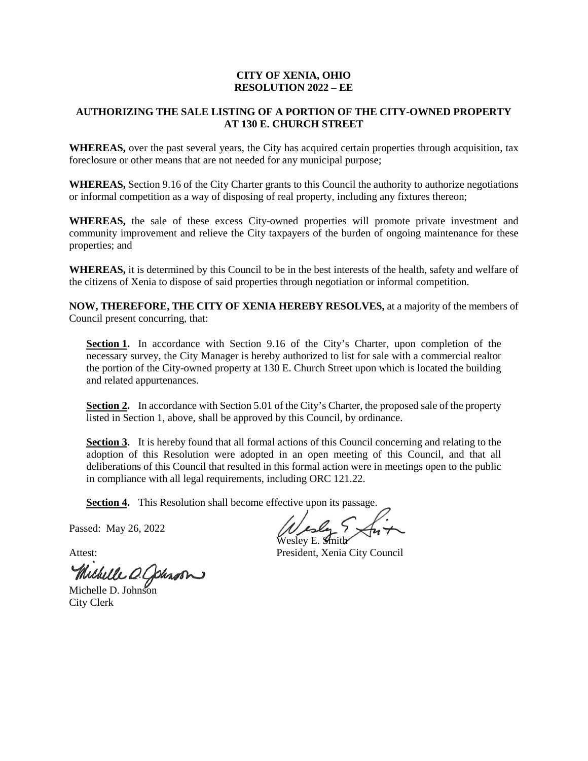## **CITY OF XENIA, OHIO RESOLUTION 2022 – EE**

## **AUTHORIZING THE SALE LISTING OF A PORTION OF THE CITY-OWNED PROPERTY AT 130 E. CHURCH STREET**

**WHEREAS,** over the past several years, the City has acquired certain properties through acquisition, tax foreclosure or other means that are not needed for any municipal purpose;

**WHEREAS,** Section 9.16 of the City Charter grants to this Council the authority to authorize negotiations or informal competition as a way of disposing of real property, including any fixtures thereon;

**WHEREAS,** the sale of these excess City-owned properties will promote private investment and community improvement and relieve the City taxpayers of the burden of ongoing maintenance for these properties; and

**WHEREAS,** it is determined by this Council to be in the best interests of the health, safety and welfare of the citizens of Xenia to dispose of said properties through negotiation or informal competition.

**NOW, THEREFORE, THE CITY OF XENIA HEREBY RESOLVES,** at a majority of the members of Council present concurring, that:

Section 1. In accordance with Section 9.16 of the City's Charter, upon completion of the necessary survey, the City Manager is hereby authorized to list for sale with a commercial realtor the portion of the City-owned property at 130 E. Church Street upon which is located the building and related appurtenances.

**Section 2.** In accordance with Section 5.01 of the City's Charter, the proposed sale of the property listed in Section 1, above, shall be approved by this Council, by ordinance.

**Section 3.** It is hereby found that all formal actions of this Council concerning and relating to the adoption of this Resolution were adopted in an open meeting of this Council, and that all deliberations of this Council that resulted in this formal action were in meetings open to the public in compliance with all legal requirements, including ORC 121.22.

**Section 4.** This Resolution shall become effective upon its passage.

Passed: May 26, 2022

Michelle O. Cohron

City Clerk

Wesley E. Smith

Attest: President, Xenia City Council